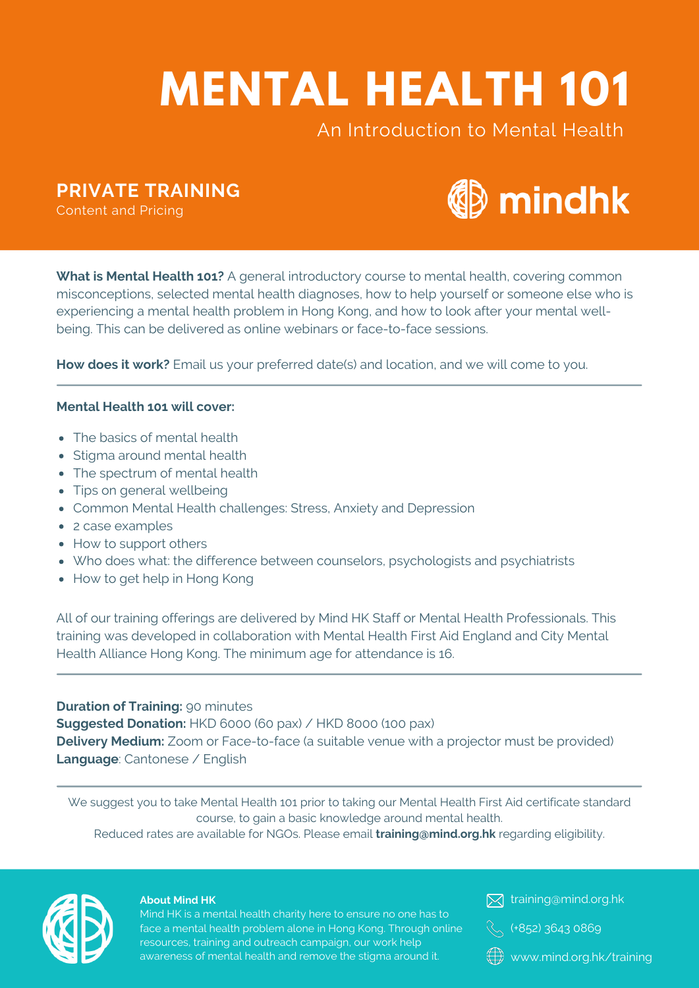# **MENTAL HEALTH 101**

# An Introduction to Mental Health

**PRIVATE TRAINING**

Content and Pricing



**What is Mental Health 101?** A general introductory course to mental health, covering common misconceptions, selected mental health diagnoses, how to help yourself or someone else who is experiencing a mental health problem in Hong Kong, and how to look after your mental wellbeing. This can be delivered as online webinars or face-to-face sessions.

**How does it work?** Email us your preferred date(s) and location, and we will come to you.

## **Mental Health 101 will cover:**

- The basics of mental health
- Stigma around mental health
- The spectrum of mental health
- Tips on general wellbeing
- Common Mental Health challenges: Stress, Anxiety and Depression
- 2 case examples
- How to support others
- Who does what: the difference between counselors, psychologists and psychiatrists
- How to get help in Hong Kong

All of our training offerings are delivered by Mind HK Staff or Mental Health Professionals. This training was developed in collaboration with Mental Health First Aid England and City Mental Health Alliance Hong Kong. The minimum age for attendance is 16.

## **Duration of Training:** 90 minutes

**Suggested Donation:** HKD 6000 (60 pax) / HKD 8000 (100 pax)

**Delivery Medium:** Zoom or Face-to-face (a suitable venue with a projector must be provided) **Language**: Cantonese / English

We suggest you to take Mental Health 101 prior to taking our Mental Health First Aid certificate standard course, to gain a basic knowledge around mental health.

Reduced rates are available for NGOs. Please email **training@mind.org.hk** regarding eligibility.



#### **About Mind HK**

Mind HK is a mental health charity here to ensure no one has to face a mental health problem alone in Hong Kong. Through online resources, training and outreach campaign, our work help awareness of mental health and remove the stigma around it.

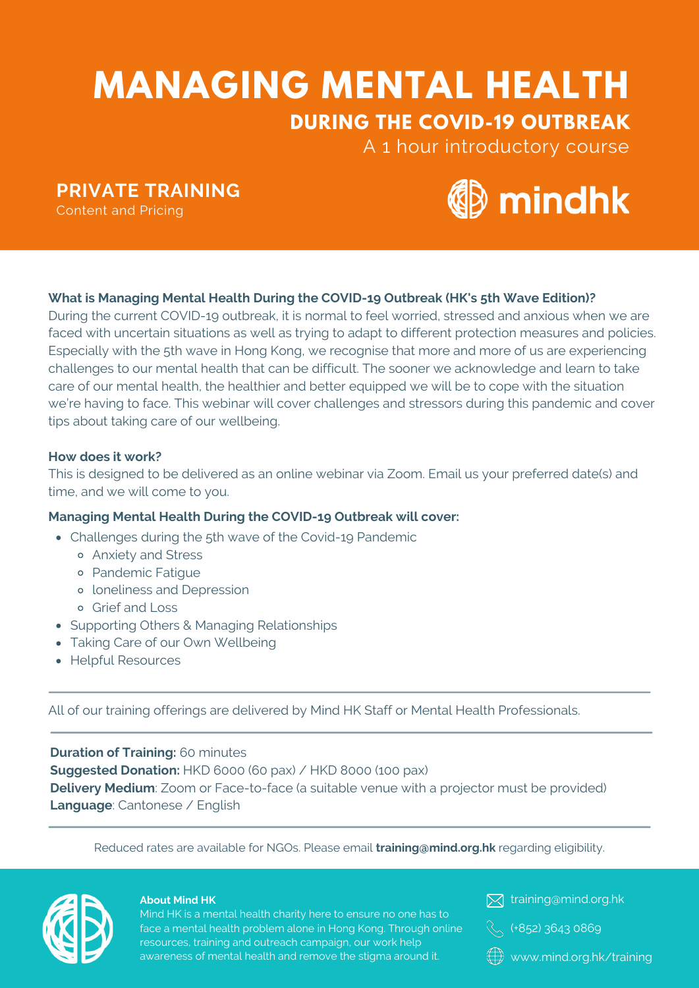# **MANAGING MENTAL HEALTH DURING THE COVID-19 OUTBREAK**

A 1 hour introductory course

**PRIVATE TRAINING**

Content and Pricing



# **What is Managing Mental Health During the COVID-19 Outbreak (HK's 5th Wave Edition)?**

During the current COVID-19 outbreak, it is normal to feel worried, stressed and anxious when we are faced with uncertain situations as well as trying to adapt to different protection measures and policies. Especially with the 5th wave in Hong Kong, we recognise that more and more of us are experiencing challenges to our mental health that can be difficult. The sooner we acknowledge and learn to take care of our mental health, the healthier and better equipped we will be to cope with the situation we're having to face. This webinar will cover challenges and stressors during this pandemic and cover tips about taking care of our wellbeing.

## **How does it work?**

This is designed to be delivered as an online webinar via Zoom. Email us your preferred date(s) and time, and we will come to you.

# **Managing Mental Health During the COVID-19 Outbreak will cover:**

- Challenges during the 5th wave of the Covid-19 Pandemic
	- Anxiety and Stress
	- Pandemic Fatigue
	- loneliness and Depression
	- Grief and Loss
- Supporting Others & Managing Relationships
- Taking Care of our Own Wellbeing
- Helpful Resources

All of our training offerings are delivered by Mind HK Staff or Mental Health Professionals.

**Duration of Training:** 60 minutes **Suggested Donation:** HKD 6000 (60 pax) / HKD 8000 (100 pax) **Delivery Medium**: Zoom or Face-to-face (a suitable venue with a projector must be provided) **Language**: Cantonese / English

Reduced rates are available for NGOs. Please email **training@mind.org.hk** regarding eligibility.



#### **About Mind HK**

Mind HK is a mental health charity here to ensure no one has to face a mental health problem alone in Hong Kong. Through online resources, training and outreach campaign, our work help awareness of mental health and remove the stigma around it.

**X** training@mind.org.hk



www.mind.org.hk/training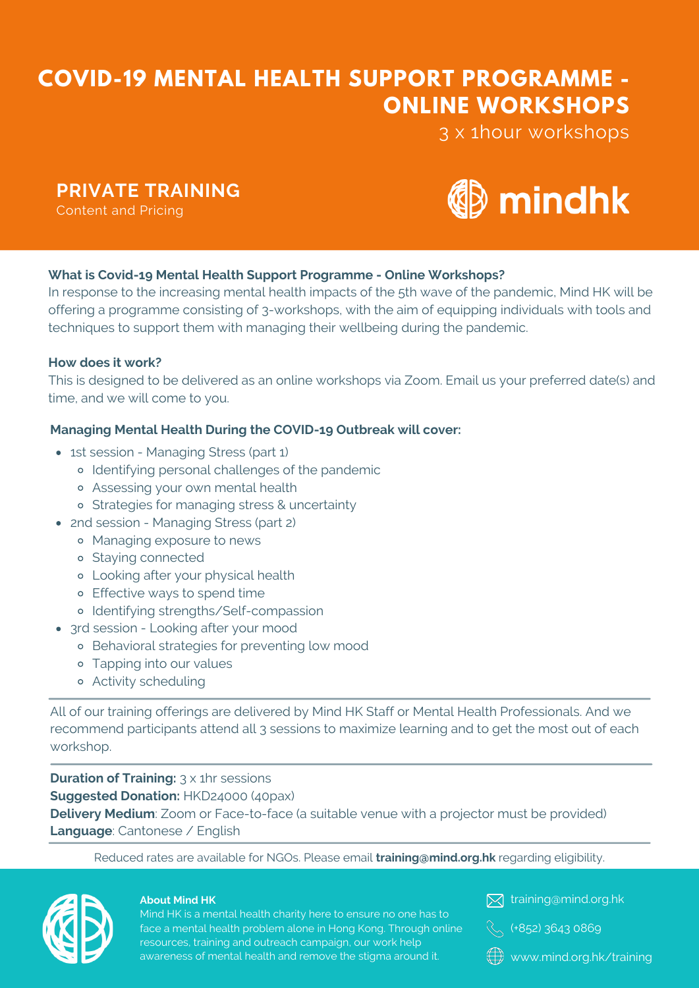# **COVID-19 MENTAL HEALTH SUPPORT PROGRAMME - ONLINE WORKSHOPS**

3 x 1hour workshops

# **PRIVATE TRAINING**

Content and Pricing



# **What is Covid-19 Mental Health Support Programme - Online Workshops?**

In response to the increasing mental health impacts of the 5th wave of the pandemic, Mind HK will be offering a programme consisting of 3-workshops, with the aim of equipping individuals with tools and techniques to support them with managing their wellbeing during the pandemic.

## **How does it work?**

This is designed to be delivered as an online workshops via Zoom. Email us your preferred date(s) and time, and we will come to you.

## **Managing Mental Health During the COVID-19 Outbreak will cover:**

- 1st session Managing Stress (part 1)
	- Identifying personal challenges of the pandemic
	- Assessing your own mental health
	- o Strategies for managing stress & uncertainty
- 2nd session Managing Stress (part 2)
	- Managing exposure to news
	- o Staying connected
	- Looking after your physical health
	- Effective ways to spend time
	- Identifying strengths/Self-compassion
- 3rd session Looking after your mood
	- Behavioral strategies for preventing low mood
	- Tapping into our values
	- Activity scheduling

All of our training offerings are delivered by Mind HK Staff or Mental Health Professionals. And we recommend participants attend all 3 sessions to maximize learning and to get the most out of each workshop.

**Duration of Training:** 3 x 1hr sessions **Suggested Donation:** HKD24000 (40pax) **Delivery Medium**: Zoom or Face-to-face (a suitable venue with a projector must be provided) **Language**: Cantonese / English

Reduced rates are available for NGOs. Please email **training@mind.org.hk** regarding eligibility.



#### **About Mind HK**

Mind HK is a mental health charity here to ensure no one has to face a mental health problem alone in Hong Kong. Through online resources, training and outreach campaign, our work help awareness of mental health and remove the stigma around it.



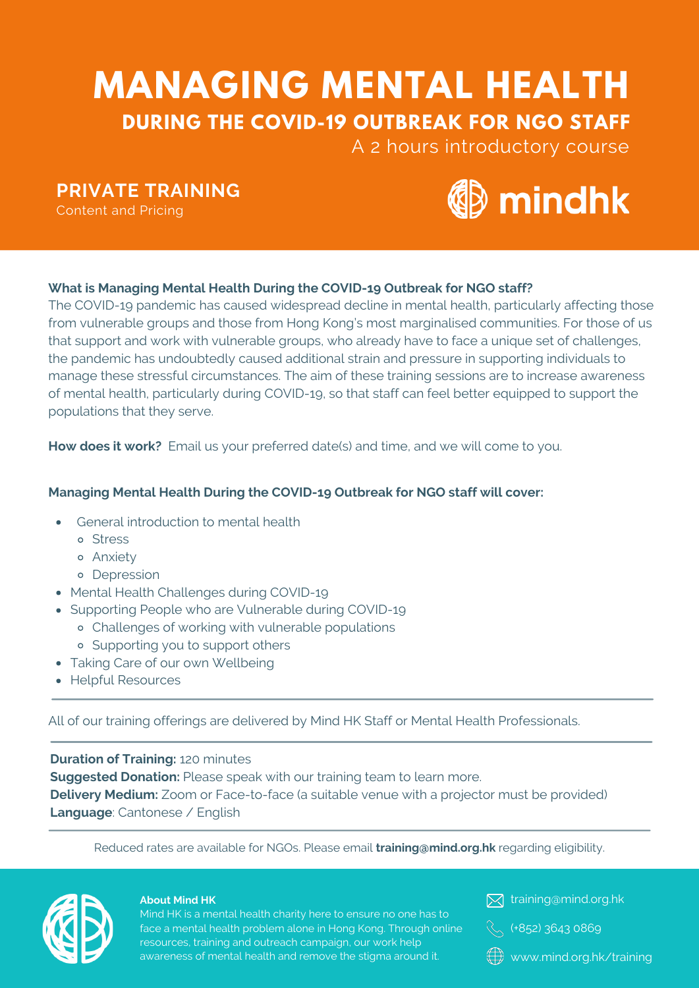# **MANAGING MENTAL HEALTH DURING THE COVID-19 OUTBREAK FOR NGO STAFF**

A 2 hours introductory course

**PRIVATE TRAINING**

Content and Pricing



# **What is Managing Mental Health During the COVID-19 Outbreak for NGO staff?**

The COVID-19 pandemic has caused widespread decline in mental health, particularly affecting those from vulnerable groups and those from Hong Kong's most marginalised communities. For those of us that support and work with vulnerable groups, who already have to face a unique set of challenges, the pandemic has undoubtedly caused additional strain and pressure in supporting individuals to manage these stressful circumstances. The aim of these training sessions are to increase awareness of mental health, particularly during COVID-19, so that staff can feel better equipped to support the populations that they serve.

**How does it work?** Email us your preferred date(s) and time, and we will come to you.

# **Managing Mental Health During the COVID-19 Outbreak for NGO staff will cover:**

- General introduction to mental health
	- o Stress
	- Anxiety
	- Depression
- Mental Health Challenges during COVID-19
- Supporting People who are Vulnerable during COVID-19
	- Challenges of working with vulnerable populations
	- Supporting you to support others
- Taking Care of our own Wellbeing
- Helpful Resources  $\bullet$

All of our training offerings are delivered by Mind HK Staff or Mental Health Professionals.

# **Duration of Training:** 120 minutes

**Suggested Donation:** Please speak with our training team to learn more. **Delivery Medium:** Zoom or Face-to-face (a suitable venue with a projector must be provided) **Language**: Cantonese / English

Reduced rates are available for NGOs. Please email **training@mind.org.hk** regarding eligibility.



#### **About Mind HK**

Mind HK is a mental health charity here to ensure no one has to face a mental health problem alone in Hong Kong. Through online resources, training and outreach campaign, our work help awareness of mental health and remove the stigma around it.



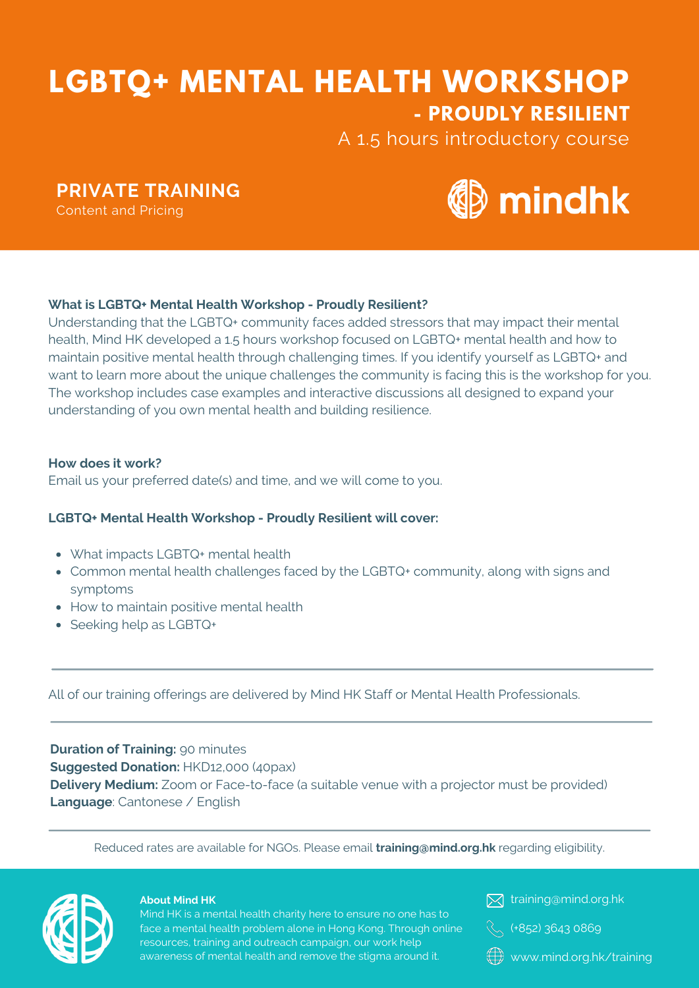# **LGBTQ+ MENTAL HEALTH WORKSHOP - PROUDLY RESILIENT**

A 1.5 hours introductory course

**PRIVATE TRAINING**

Content and Pricing



# **What is LGBTQ+ Mental Health Workshop - Proudly Resilient?**

Understanding that the LGBTQ+ community faces added stressors that may impact their mental health, Mind HK developed a 1.5 hours workshop focused on LGBTQ+ mental health and how to maintain positive mental health through challenging times. If you identify yourself as LGBTQ+ and want to learn more about the unique challenges the community is facing this is the workshop for you. The workshop includes case examples and interactive discussions all designed to expand your understanding of you own mental health and building resilience.

## **How does it work?**

Email us your preferred date(s) and time, and we will come to you.

## **LGBTQ+ Mental Health Workshop - Proudly Resilient will cover:**

- What impacts LGBTQ+ mental health
- Common mental health challenges faced by the LGBTQ+ community, along with signs and symptoms
- How to maintain positive mental health
- Seeking help as LGBTQ+

All of our training offerings are delivered by Mind HK Staff or Mental Health Professionals.

# **Duration of Training:** 90 minutes **Suggested Donation:** HKD12,000 (40pax) **Delivery Medium:** Zoom or Face-to-face (a suitable venue with a projector must be provided) **Language**: Cantonese / English

Reduced rates are available for NGOs. Please email **training@mind.org.hk** regarding eligibility.



#### **About Mind HK**

Mind HK is a mental health charity here to ensure no one has to face a mental health problem alone in Hong Kong. Through online resources, training and outreach campaign, our work help awareness of mental health and remove the stigma around it.

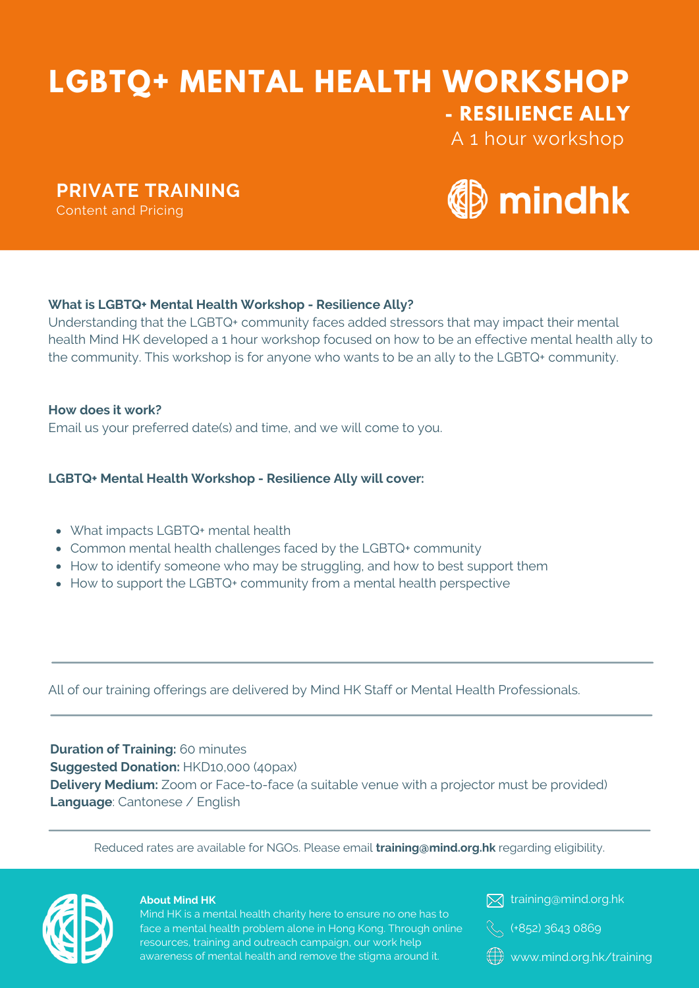# **LGBTQ+ MENTAL HEALTH WORKSHOP - RESILIENCE ALLY**

**PRIVATE TRAINING**

Content and Pricing



A 1 hour workshop

# **What is LGBTQ+ Mental Health Workshop - Resilience Ally?**

Understanding that the LGBTQ+ community faces added stressors that may impact their mental health Mind HK developed a 1 hour workshop focused on how to be an effective mental health ally to the community. This workshop is for anyone who wants to be an ally to the LGBTQ+ community.

**How does it work?** Email us your preferred date(s) and time, and we will come to you.

## **LGBTQ+ Mental Health Workshop - Resilience Ally will cover:**

- What impacts LGBTQ+ mental health
- Common mental health challenges faced by the LGBTQ+ community
- How to identify someone who may be struggling, and how to best support them
- How to support the LGBTQ+ community from a mental health perspective

All of our training offerings are delivered by Mind HK Staff or Mental Health Professionals.

# **Duration of Training:** 60 minutes

**Suggested Donation:** HKD10,000 (40pax) **Delivery Medium:** Zoom or Face-to-face (a suitable venue with a projector must be provided) **Language**: Cantonese / English

Reduced rates are available for NGOs. Please email **training@mind.org.hk** regarding eligibility.



#### **About Mind HK**

Mind HK is a mental health charity here to ensure no one has to face a mental health problem alone in Hong Kong. Through online resources, training and outreach campaign, our work help awareness of mental health and remove the stigma around it.

**X** training@mind.org.hk



www.mind.org.hk/training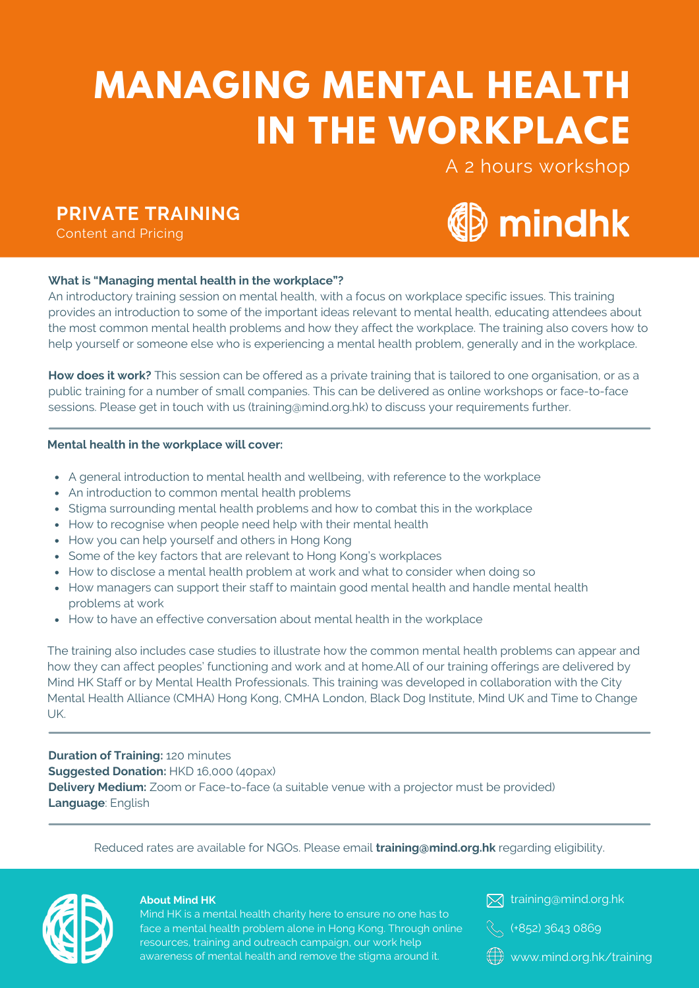# **MANAGING MENTAL HEALTH IN THE WORKPLACE**

A 2 hours workshop

# **PRIVATE TRAINING**

Content and Pricing



#### **What is "Managing mental health in the workplace"?**

An introductory training session on mental health, with a focus on workplace specific issues. This training provides an introduction to some of the important ideas relevant to mental health, educating attendees about the most common mental health problems and how they affect the workplace. The training also covers how to help yourself or someone else who is experiencing a mental health problem, generally and in the workplace.

**How does it work?** This session can be offered as a private training that is tailored to one organisation, or as a public training for a number of small companies. This can be delivered as online workshops or face-to-face sessions. Please get in touch with us (training@mind.org.hk) to discuss your requirements further.

#### **Mental health in the workplace will cover:**

- A general introduction to mental health and wellbeing, with reference to the workplace
- An introduction to common mental health problems
- Stigma surrounding mental health problems and how to combat this in the workplace
- How to recognise when people need help with their mental health
- How you can help yourself and others in Hong Kong
- Some of the key factors that are relevant to Hong Kong's workplaces
- How to disclose a mental health problem at work and what to consider when doing so
- How managers can support their staff to maintain good mental health and handle mental health problems at work
- How to have an effective conversation about mental health in the workplace

The training also includes case studies to illustrate how the common mental health problems can appear and how they can affect peoples' functioning and work and at home.All of our training offerings are delivered by Mind HK Staff or by Mental Health Professionals. This training was developed in collaboration with the City Mental Health Alliance (CMHA) Hong Kong, CMHA London, Black Dog Institute, Mind UK and Time to Change UK.

**Duration of Training:** 120 minutes **Suggested Donation:** HKD 16,000 (40pax) **Delivery Medium:** Zoom or Face-to-face (a suitable venue with a projector must be provided) **Language**: English

Reduced rates are available for NGOs. Please email **training@mind.org.hk** regarding eligibility.



#### **About Mind HK**

Mind HK is a mental health charity here to ensure no one has to face a mental health problem alone in Hong Kong. Through online resources, training and outreach campaign, our work help awareness of mental health and remove the stigma around it.



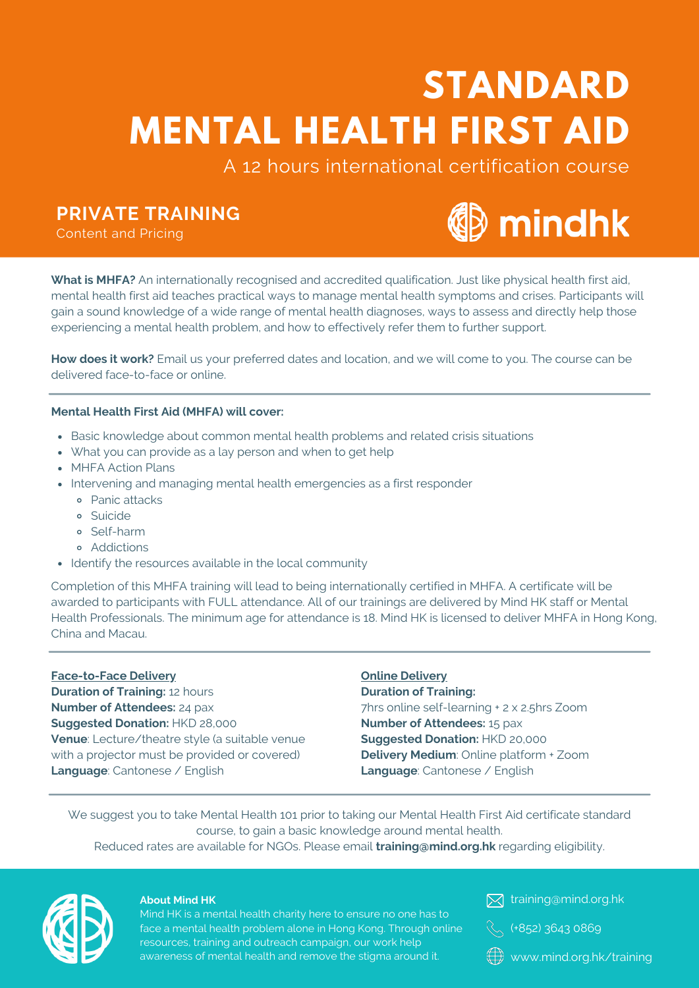# **STANDARD MENTAL HEALTH FIRST AID**

A 12 hours international certification course

# **PRIVATE TRAINING**

Content and Pricing



**What is MHFA?** An internationally recognised and accredited qualification. Just like physical health first aid, mental health first aid teaches practical ways to manage mental health symptoms and crises. Participants will gain a sound knowledge of a wide range of mental health diagnoses, ways to assess and directly help those experiencing a mental health problem, and how to effectively refer them to further support.

**How does it work?** Email us your preferred dates and location, and we will come to you. The course can be delivered face-to-face or online.

#### **Mental Health First Aid (MHFA) will cover:**

- Basic knowledge about common mental health problems and related crisis situations
- What you can provide as a lay person and when to get help
- MHFA Action Plans
- Intervening and managing mental health emergencies as a first responder
	- Panic attacks
	- Suicide
	- Self-harm
	- Addictions
- Identify the resources available in the local community

Completion of this MHFA training will lead to being internationally certified in MHFA. A certificate will be awarded to participants with FULL attendance. All of our trainings are delivered by Mind HK staff or Mental Health Professionals. The minimum age for attendance is 18. Mind HK is licensed to deliver MHFA in Hong Kong, China and Macau.

**Face-to-Face Delivery Duration of Training:** 12 hours **Number of Attendees:** 24 pax **Suggested Donation:** HKD 28,000 **Venue**: Lecture/theatre style (a suitable venue with a projector must be provided or covered) **Language**: Cantonese / English

#### **Online Delivery**

**Duration of Training:** 7hrs online self-learning + 2 x 2.5hrs Zoom **Number of Attendees:** 15 pax **Suggested Donation:** HKD 20,000 **Delivery Medium**: Online platform + Zoom **Language**: Cantonese / English

We suggest you to take Mental Health 101 prior to taking our Mental Health First Aid certificate standard course, to gain a basic knowledge around mental health.

Reduced rates are available for NGOs. Please email **training@mind.org.hk** regarding eligibility.



#### **About Mind HK**

Mind HK is a mental health charity here to ensure no one has to face a mental health problem alone in Hong Kong. Through online resources, training and outreach campaign, our work help awareness of mental health and remove the stigma around it.



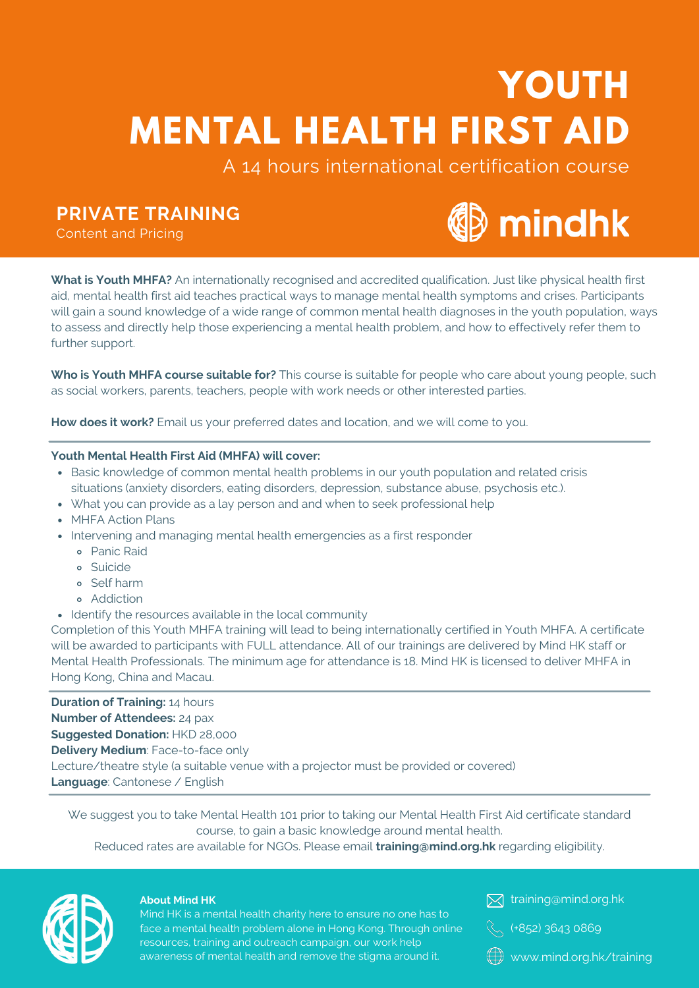# **YOUTH MENTAL HEALTH FIRST AID**

A 14 hours international certification course

# **PRIVATE TRAINING**

Content and Pricing



**What is Youth MHFA?** An internationally recognised and accredited qualification. Just like physical health first aid, mental health first aid teaches practical ways to manage mental health symptoms and crises. Participants will gain a sound knowledge of a wide range of common mental health diagnoses in the youth population, ways to assess and directly help those experiencing a mental health problem, and how to effectively refer them to further support.

**Who is Youth MHFA course suitable for?** This course is suitable for people who care about young people, such as social workers, parents, teachers, people with work needs or other interested parties.

**How does it work?** Email us your preferred dates and location, and we will come to you.

#### **Youth Mental Health First Aid (MHFA) will cover:**

- Basic knowledge of common mental health problems in our youth population and related crisis situations (anxiety disorders, eating disorders, depression, substance abuse, psychosis etc.).
- What you can provide as a lay person and and when to seek professional help
- MHFA Action Plans
- Intervening and managing mental health emergencies as a first responder
	- Panic Raid
	- Suicide
	- Self harm
	- Addiction
- Identify the resources available in the local community

Completion of this Youth MHFA training will lead to being internationally certified in Youth MHFA. A certificate will be awarded to participants with FULL attendance. All of our trainings are delivered by Mind HK staff or Mental Health Professionals. The minimum age for attendance is 18. Mind HK is licensed to deliver MHFA in Hong Kong, China and Macau.

**Duration of Training:** 14 hours **Number of Attendees:** 24 pax **Suggested Donation:** HKD 28,000 **Delivery Medium**: Face-to-face only Lecture/theatre style (a suitable venue with a projector must be provided or covered) **Language**: Cantonese / English

We suggest you to take Mental Health 101 prior to taking our Mental Health First Aid certificate standard course, to gain a basic knowledge around mental health.

Reduced rates are available for NGOs. Please email **training@mind.org.hk** regarding eligibility.



#### **About Mind HK**

Mind HK is a mental health charity here to ensure no one has to face a mental health problem alone in Hong Kong. Through online resources, training and outreach campaign, our work help awareness of mental health and remove the stigma around it.

**X** training@mind.org.hk



www.mind.org.hk/training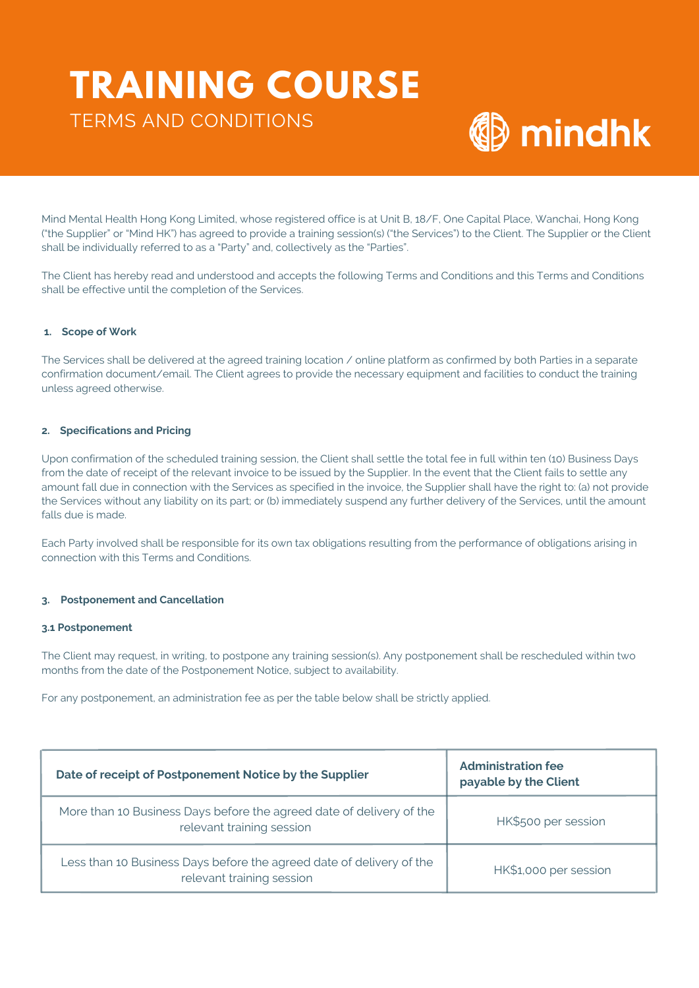# **TRAINING COURSE** TERMS AND CONDITIONS



Mind Mental Health Hong Kong Limited, whose registered office is at Unit B, 18/F, One Capital Place, Wanchai, Hong Kong ("the Supplier" or "Mind HK") has agreed to provide a training session(s) ("the Services") to the Client. The Supplier or the Client shall be individually referred to as a "Party" and, collectively as the "Parties".

The Client has hereby read and understood and accepts the following Terms and Conditions and this Terms and Conditions shall be effective until the completion of the Services.

#### **1. Scope of Work**

The Services shall be delivered at the agreed training location / online platform as confirmed by both Parties in a separate confirmation document/email. The Client agrees to provide the necessary equipment and facilities to conduct the training unless agreed otherwise.

#### **2. Specifications and Pricing**

Upon confirmation of the scheduled training session, the Client shall settle the total fee in full within ten (10) Business Days from the date of receipt of the relevant invoice to be issued by the Supplier. In the event that the Client fails to settle any amount fall due in connection with the Services as specified in the invoice, the Supplier shall have the right to: (a) not provide the Services without any liability on its part; or (b) immediately suspend any further delivery of the Services, until the amount falls due is made.

Each Party involved shall be responsible for its own tax obligations resulting from the performance of obligations arising in connection with this Terms and Conditions.

#### **3. Postponement and Cancellation**

#### **3.1 Postponement**

The Client may request, in writing, to postpone any training session(s). Any postponement shall be rescheduled within two months from the date of the Postponement Notice, subject to availability.

For any postponement, an administration fee as per the table below shall be strictly applied.

| Date of receipt of Postponement Notice by the Supplier                                            | <b>Administration fee</b><br>payable by the Client |
|---------------------------------------------------------------------------------------------------|----------------------------------------------------|
| More than 10 Business Days before the agreed date of delivery of the<br>relevant training session | HK\$500 per session                                |
| Less than 10 Business Days before the agreed date of delivery of the<br>relevant training session | HK\$1,000 per session                              |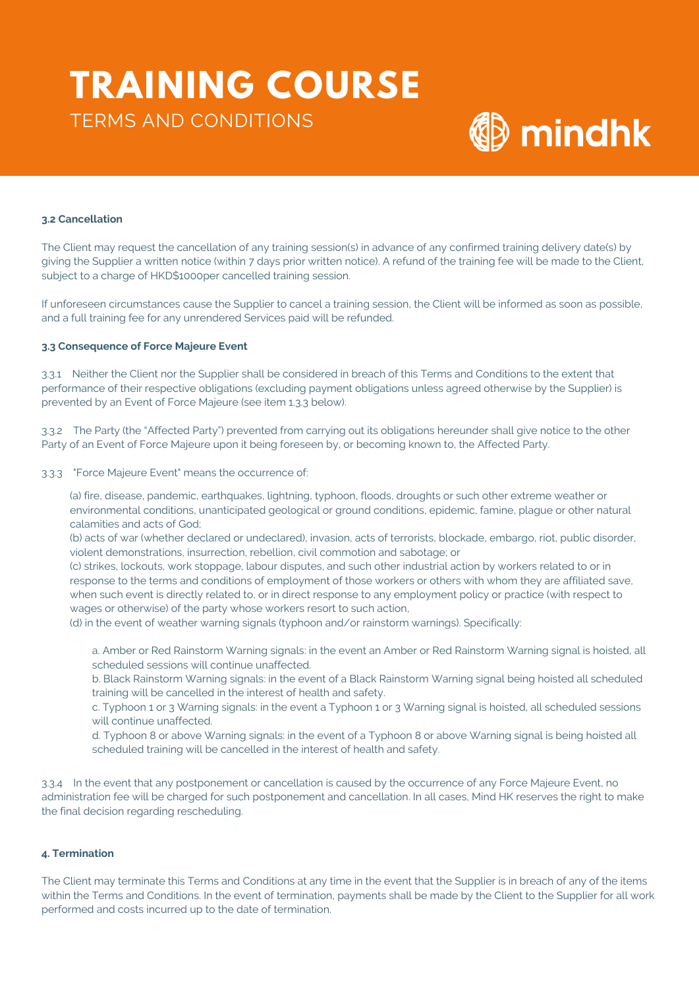# **TRAINING COURSE** TERMS AND CONDITIONS



#### **3.2 Cancellation**

The Client may request the cancellation of any training session(s) in advance of any confirmed training delivery date(s) by giving the Supplier a written notice (within 7 days prior written notice). A refund of the training fee will be made to the Client, subject to a charge of HKD\$1000per cancelled training session.

If unforeseen circumstances cause the Supplier to cancel a training session, the Client will be informed as soon as possible, and a full training fee for any unrendered Services paid will be refunded.

#### **3.3 Consequence of Force Majeure Event**

3.3.1 Neither the Client nor the Supplier shall be considered in breach of this Terms and Conditions to the extent that performance of their respective obligations (excluding payment obligations unless agreed otherwise by the Supplier) is prevented by an Event of Force Majeure (see item 1.3.3 below).

3.3.2 The Party (the "Affected Party") prevented from carrying out its obligations hereunder shall give notice to the other Party of an Event of Force Majeure upon it being foreseen by, or becoming known to, the Affected Party.

#### 3.3.3 "Force Majeure Event" means the occurrence of:

(a) fire, disease, pandemic, earthquakes, lightning, typhoon, floods, droughts or such other extreme weather or environmental conditions, unanticipated geological or ground conditions, epidemic, famine, plague or other natural calamities and acts of God;

(b) acts of war (whether declared or undeclared), invasion, acts of terrorists, blockade, embargo, riot, public disorder, violent demonstrations, insurrection, rebellion, civil commotion and sabotage; or

(c) strikes, lockouts, work stoppage, labour disputes, and such other industrial action by workers related to or in response to the terms and conditions of employment of those workers or others with whom they are affiliated save, when such event is directly related to, or in direct response to any employment policy or practice (with respect to wages or otherwise) of the party whose workers resort to such action,

(d) in the event of weather warning signals (typhoon and/or rainstorm warnings). Specifically:

a. Amber or Red Rainstorm Warning signals: in the event an Amber or Red Rainstorm Warning signal is hoisted, all scheduled sessions will continue unaffected.

b. Black Rainstorm Warning signals: in the event of a Black Rainstorm Warning signal being hoisted all scheduled training will be cancelled in the interest of health and safety.

c. Typhoon 1 or 3 Warning signals: in the event a Typhoon 1 or 3 Warning signal is hoisted, all scheduled sessions will continue unaffected.

d. Typhoon 8 or above Warning signals: in the event of a Typhoon 8 or above Warning signal is being hoisted all scheduled training will be cancelled in the interest of health and safety.

3.3.4 In the event that any postponement or cancellation is caused by the occurrence of any Force Majeure Event, no administration fee will be charged for such postponement and cancellation. In all cases, Mind HK reserves the right to make the final decision regarding rescheduling.

#### **4. Termination**

The Client may terminate this Terms and Conditions at any time in the event that the Supplier is in breach of any of the items within the Terms and Conditions. In the event of termination, payments shall be made by the Client to the Supplier for all work performed and costs incurred up to the date of termination.